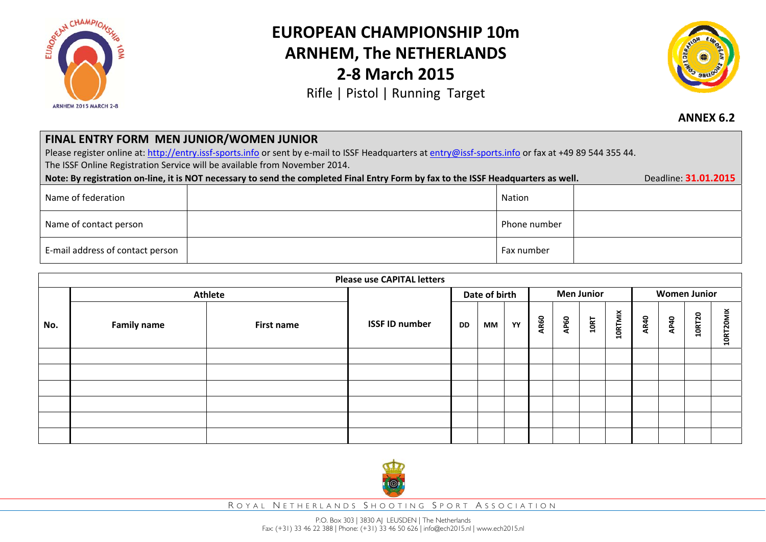

## **EUROPEAN CHAMPIONSHIP 10mARNHEM, The NETHERLANDS 2‐8 March 2015**

Rifle | Pistol | Running Target



**ANNEX 6.2**

## **FINAL ENTRY FORM MEN JUNIOR/WOMEN JUNIOR**

Please register online at: http://entry.issf-sports.info or sent by e-mail to ISSF Headquarters at entry@issf-sports.info or fax at +49 89 544 355 44. The ISSF Online Registration Service will be available from November 2014.

| Deadline: 31.01.2015<br>Note: By registration on-line, it is NOT necessary to send the completed Final Entry Form by fax to the ISSF Headquarters as well. |  |              |  |  |  |  |
|------------------------------------------------------------------------------------------------------------------------------------------------------------|--|--------------|--|--|--|--|
| Name of federation                                                                                                                                         |  | Nation       |  |  |  |  |
| Name of contact person                                                                                                                                     |  | Phone number |  |  |  |  |
| E-mail address of contact person                                                                                                                           |  | Fax number   |  |  |  |  |

| <b>Please use CAPITAL letters</b> |                    |            |                       |    |    |                   |      |      |      |                     |             |      |               |           |
|-----------------------------------|--------------------|------------|-----------------------|----|----|-------------------|------|------|------|---------------------|-------------|------|---------------|-----------|
|                                   | <b>Athlete</b>     |            | Date of birth         |    |    | <b>Men Junior</b> |      |      |      | <b>Women Junior</b> |             |      |               |           |
| No.                               | <b>Family name</b> | First name | <b>ISSF ID number</b> | DD | МM | YY                | AR60 | AP60 | 10RT | <b>10RTMIX</b>      | <b>AR40</b> | AP40 | <b>10RT20</b> | 10RT20MIX |
|                                   |                    |            |                       |    |    |                   |      |      |      |                     |             |      |               |           |
|                                   |                    |            |                       |    |    |                   |      |      |      |                     |             |      |               |           |
|                                   |                    |            |                       |    |    |                   |      |      |      |                     |             |      |               |           |
|                                   |                    |            |                       |    |    |                   |      |      |      |                     |             |      |               |           |
|                                   |                    |            |                       |    |    |                   |      |      |      |                     |             |      |               |           |
|                                   |                    |            |                       |    |    |                   |      |      |      |                     |             |      |               |           |



R OYAL N ETHERLANDS S HOOTING S PORT A SSOCIATION